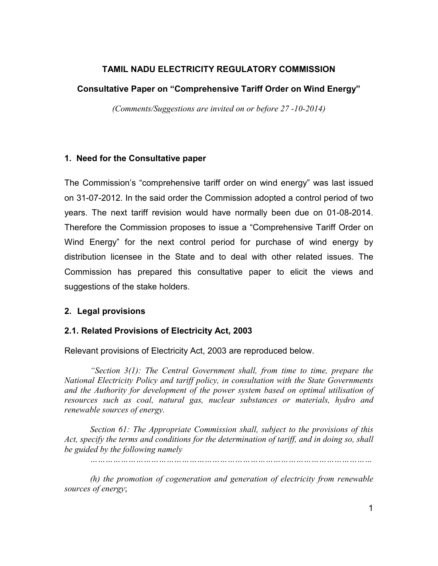## TAMIL NADU ELECTRICITY REGULATORY COMMISSION

## Consultative Paper on "Comprehensive Tariff Order on Wind Energy"

(Comments/Suggestions are invited on or before 27 -10-2014)

## 1. Need for the Consultative paper

The Commission's "comprehensive tariff order on wind energy" was last issued on 31-07-2012. In the said order the Commission adopted a control period of two years. The next tariff revision would have normally been due on 01-08-2014. Therefore the Commission proposes to issue a "Comprehensive Tariff Order on Wind Energy" for the next control period for purchase of wind energy by distribution licensee in the State and to deal with other related issues. The Commission has prepared this consultative paper to elicit the views and suggestions of the stake holders.

## 2. Legal provisions

## 2.1. Related Provisions of Electricity Act, 2003

Relevant provisions of Electricity Act, 2003 are reproduced below.

"Section  $3(1)$ : The Central Government shall, from time to time, prepare the National Electricity Policy and tariff policy, in consultation with the State Governments and the Authority for development of the power system based on optimal utilisation of resources such as coal, natural gas, nuclear substances or materials, hydro and renewable sources of energy.

Section 61: The Appropriate Commission shall, subject to the provisions of this Act, specify the terms and conditions for the determination of tariff, and in doing so, shall be guided by the following namely

…………………………………………………………………………………………………

(h) the promotion of cogeneration and generation of electricity from renewable sources of energy;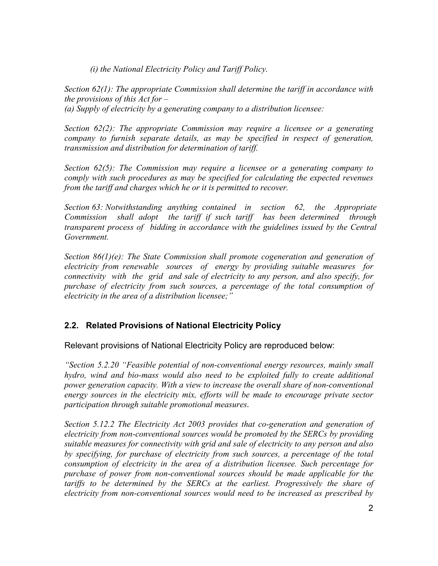(i) the National Electricity Policy and Tariff Policy.

Section 62(1): The appropriate Commission shall determine the tariff in accordance with the provisions of this  $Act$  for  $-$ 

(a) Supply of electricity by a generating company to a distribution licensee:

Section 62(2): The appropriate Commission may require a licensee or a generating company to furnish separate details, as may be specified in respect of generation, transmission and distribution for determination of tariff.

Section 62(5): The Commission may require a licensee or a generating company to comply with such procedures as may be specified for calculating the expected revenues from the tariff and charges which he or it is permitted to recover.

Section 63: Notwithstanding anything contained in section 62, the Appropriate Commission shall adopt the tariff if such tariff has been determined through transparent process of bidding in accordance with the guidelines issued by the Central Government.

Section  $86(1)(e)$ : The State Commission shall promote cogeneration and generation of electricity from renewable sources of energy by providing suitable measures for connectivity with the grid and sale of electricity to any person, and also specify, for purchase of electricity from such sources, a percentage of the total consumption of electricity in the area of a distribution licensee;"

## 2.2. Related Provisions of National Electricity Policy

Relevant provisions of National Electricity Policy are reproduced below:

"Section 5.2.20 "Feasible potential of non-conventional energy resources, mainly small hydro, wind and bio-mass would also need to be exploited fully to create additional power generation capacity. With a view to increase the overall share of non-conventional energy sources in the electricity mix, efforts will be made to encourage private sector participation through suitable promotional measures.

Section 5.12.2 The Electricity Act 2003 provides that co-generation and generation of electricity from non-conventional sources would be promoted by the SERCs by providing suitable measures for connectivity with grid and sale of electricity to any person and also by specifying, for purchase of electricity from such sources, a percentage of the total consumption of electricity in the area of a distribution licensee. Such percentage for purchase of power from non-conventional sources should be made applicable for the tariffs to be determined by the SERCs at the earliest. Progressively the share of electricity from non-conventional sources would need to be increased as prescribed by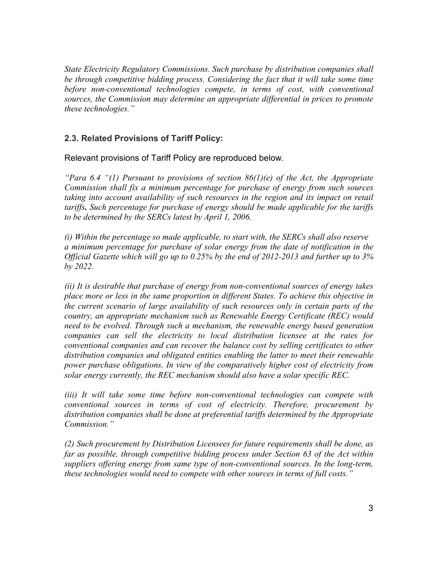State Electricity Regulatory Commissions. Such purchase by distribution companies shall be through competitive bidding process. Considering the fact that it will take some time before non-conventional technologies compete, in terms of cost, with conventional sources, the Commission may determine an appropriate differential in prices to promote these technologies."

## 2.3. Related Provisions of Tariff Policy:

Relevant provisions of Tariff Policy are reproduced below.

"Para 6.4 "(1) Pursuant to provisions of section  $86(1)(e)$  of the Act, the Appropriate Commission shall fix a minimum percentage for purchase of energy from such sources taking into account availability of such resources in the region and its impact on retail tariffs. Such percentage for purchase of energy should be made applicable for the tariffs to be determined by the SERCs latest by April 1, 2006.

(i) Within the percentage so made applicable, to start with, the SERCs shall also reserve a minimum percentage for purchase of solar energy from the date of notification in the Official Gazette which will go up to 0.25% by the end of 2012-2013 and further up to 3% by 2022.

(ii) It is desirable that purchase of energy from non-conventional sources of energy takes place more or less in the same proportion in different States. To achieve this objective in the current scenario of large availability of such resources only in certain parts of the country, an appropriate mechanism such as Renewable Energy Certificate (REC) would need to be evolved. Through such a mechanism, the renewable energy based generation companies can sell the electricity to local distribution licensee at the rates for conventional companies and can recover the balance cost by selling certificates to other distribution companies and obligated entities enabling the latter to meet their renewable power purchase obligations. In view of the comparatively higher cost of electricity from solar energy currently, the REC mechanism should also have a solar specific REC.

(iii) It will take some time before non-conventional technologies can compete with conventional sources in terms of cost of electricity. Therefore, procurement by distribution companies shall be done at preferential tariffs determined by the Appropriate Commission."

(2) Such procurement by Distribution Licensees for future requirements shall be done, as far as possible, through competitive bidding process under Section 63 of the Act within suppliers offering energy from same type of non-conventional sources. In the long-term, these technologies would need to compete with other sources in terms of full costs."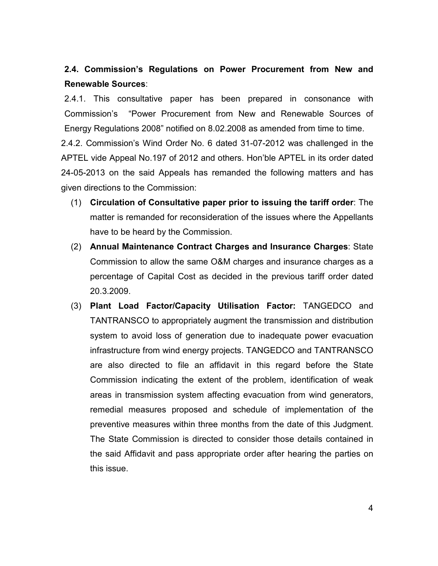2.4. Commission's Regulations on Power Procurement from New and Renewable Sources:

2.4.1. This consultative paper has been prepared in consonance with Commission's "Power Procurement from New and Renewable Sources of Energy Regulations 2008" notified on 8.02.2008 as amended from time to time.

2.4.2. Commission's Wind Order No. 6 dated 31-07-2012 was challenged in the APTEL vide Appeal No.197 of 2012 and others. Hon'ble APTEL in its order dated 24-05-2013 on the said Appeals has remanded the following matters and has given directions to the Commission:

- (1) Circulation of Consultative paper prior to issuing the tariff order: The matter is remanded for reconsideration of the issues where the Appellants have to be heard by the Commission.
- (2) Annual Maintenance Contract Charges and Insurance Charges: State Commission to allow the same O&M charges and insurance charges as a percentage of Capital Cost as decided in the previous tariff order dated 20.3.2009.
- (3) Plant Load Factor/Capacity Utilisation Factor: TANGEDCO and TANTRANSCO to appropriately augment the transmission and distribution system to avoid loss of generation due to inadequate power evacuation infrastructure from wind energy projects. TANGEDCO and TANTRANSCO are also directed to file an affidavit in this regard before the State Commission indicating the extent of the problem, identification of weak areas in transmission system affecting evacuation from wind generators, remedial measures proposed and schedule of implementation of the preventive measures within three months from the date of this Judgment. The State Commission is directed to consider those details contained in the said Affidavit and pass appropriate order after hearing the parties on this issue.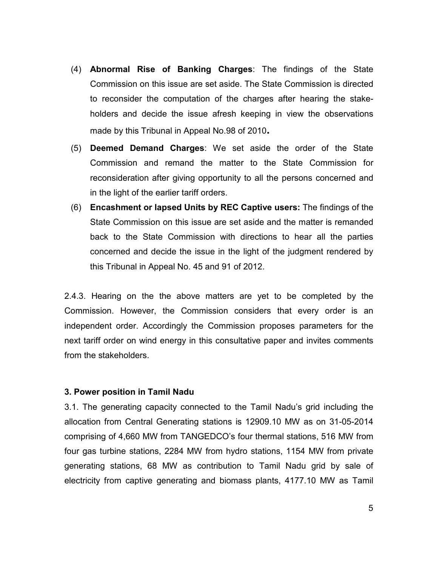- (4) Abnormal Rise of Banking Charges: The findings of the State Commission on this issue are set aside. The State Commission is directed to reconsider the computation of the charges after hearing the stakeholders and decide the issue afresh keeping in view the observations made by this Tribunal in Appeal No.98 of 2010.
- (5) Deemed Demand Charges: We set aside the order of the State Commission and remand the matter to the State Commission for reconsideration after giving opportunity to all the persons concerned and in the light of the earlier tariff orders.
- (6) Encashment or lapsed Units by REC Captive users: The findings of the State Commission on this issue are set aside and the matter is remanded back to the State Commission with directions to hear all the parties concerned and decide the issue in the light of the judgment rendered by this Tribunal in Appeal No. 45 and 91 of 2012.

2.4.3. Hearing on the the above matters are yet to be completed by the Commission. However, the Commission considers that every order is an independent order. Accordingly the Commission proposes parameters for the next tariff order on wind energy in this consultative paper and invites comments from the stakeholders.

## 3. Power position in Tamil Nadu

3.1. The generating capacity connected to the Tamil Nadu's grid including the allocation from Central Generating stations is 12909.10 MW as on 31-05-2014 comprising of 4,660 MW from TANGEDCO's four thermal stations, 516 MW from four gas turbine stations, 2284 MW from hydro stations, 1154 MW from private generating stations, 68 MW as contribution to Tamil Nadu grid by sale of electricity from captive generating and biomass plants, 4177.10 MW as Tamil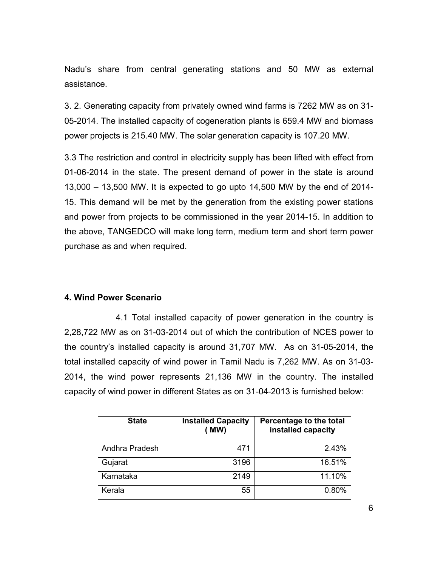Nadu's share from central generating stations and 50 MW as external assistance.

3. 2. Generating capacity from privately owned wind farms is 7262 MW as on 31- 05-2014. The installed capacity of cogeneration plants is 659.4 MW and biomass power projects is 215.40 MW. The solar generation capacity is 107.20 MW.

3.3 The restriction and control in electricity supply has been lifted with effect from 01-06-2014 in the state. The present demand of power in the state is around 13,000 – 13,500 MW. It is expected to go upto 14,500 MW by the end of 2014- 15. This demand will be met by the generation from the existing power stations and power from projects to be commissioned in the year 2014-15. In addition to the above, TANGEDCO will make long term, medium term and short term power purchase as and when required.

## 4. Wind Power Scenario

 4.1 Total installed capacity of power generation in the country is 2,28,722 MW as on 31-03-2014 out of which the contribution of NCES power to the country's installed capacity is around 31,707 MW. As on 31-05-2014, the total installed capacity of wind power in Tamil Nadu is 7,262 MW. As on 31-03- 2014, the wind power represents 21,136 MW in the country. The installed capacity of wind power in different States as on 31-04-2013 is furnished below:

| <b>State</b>   | <b>Installed Capacity</b><br>(MW) | Percentage to the total<br>installed capacity |
|----------------|-----------------------------------|-----------------------------------------------|
| Andhra Pradesh | 471                               | 2.43%                                         |
| Gujarat        | 3196                              | 16.51%                                        |
| Karnataka      | 2149                              | 11.10%                                        |
| Kerala         | 55                                | 0.80%                                         |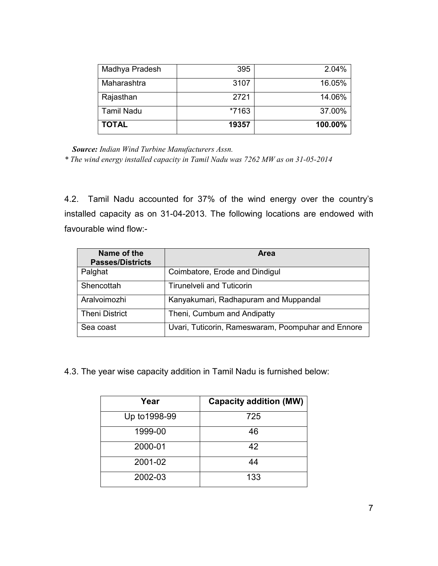| Madhya Pradesh    | 395   | 2.04%   |
|-------------------|-------|---------|
| Maharashtra       | 3107  | 16.05%  |
| Rajasthan         | 2721  | 14.06%  |
| <b>Tamil Nadu</b> | *7163 | 37.00%  |
| <b>TOTAL</b>      | 19357 | 100.00% |

Source: Indian Wind Turbine Manufacturers Assn.

\* The wind energy installed capacity in Tamil Nadu was 7262 MW as on 31-05-2014

4.2. Tamil Nadu accounted for 37% of the wind energy over the country's installed capacity as on 31-04-2013. The following locations are endowed with favourable wind flow:-

| Name of the<br><b>Passes/Districts</b> | Area                                               |
|----------------------------------------|----------------------------------------------------|
| Palghat                                | Coimbatore, Erode and Dindigul                     |
| Shencottah                             | <b>Tirunelveli and Tuticorin</b>                   |
| Aralvoimozhi                           | Kanyakumari, Radhapuram and Muppandal              |
| <b>Theni District</b>                  | Theni, Cumbum and Andipatty                        |
| Sea coast                              | Uvari, Tuticorin, Rameswaram, Poompuhar and Ennore |

4.3. The year wise capacity addition in Tamil Nadu is furnished below:

| Year          | <b>Capacity addition (MW)</b> |
|---------------|-------------------------------|
| Up to 1998-99 | 725                           |
| 1999-00       | 46                            |
| 2000-01       | 42                            |
| 2001-02       | 44                            |
| 2002-03       | 133                           |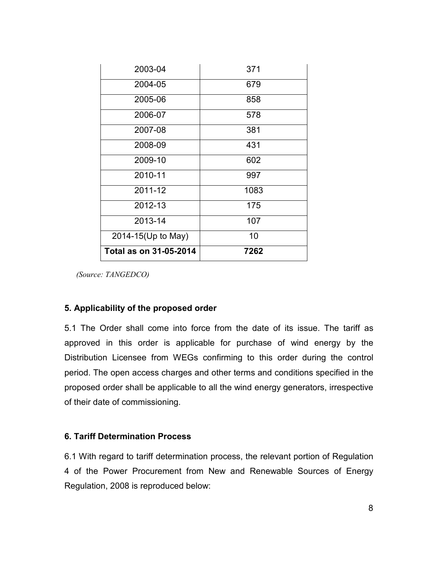| 2003-04                | 371  |
|------------------------|------|
| 2004-05                | 679  |
| 2005-06                | 858  |
| 2006-07                | 578  |
| 2007-08                | 381  |
| 2008-09                | 431  |
| 2009-10                | 602  |
| 2010-11                | 997  |
| 2011-12                | 1083 |
| 2012-13                | 175  |
| 2013-14                | 107  |
| 2014-15(Up to May)     | 10   |
| Total as on 31-05-2014 | 7262 |

(Source: TANGEDCO)

#### 5. Applicability of the proposed order

5.1 The Order shall come into force from the date of its issue. The tariff as approved in this order is applicable for purchase of wind energy by the Distribution Licensee from WEGs confirming to this order during the control period. The open access charges and other terms and conditions specified in the proposed order shall be applicable to all the wind energy generators, irrespective of their date of commissioning.

#### 6. Tariff Determination Process

6.1 With regard to tariff determination process, the relevant portion of Regulation 4 of the Power Procurement from New and Renewable Sources of Energy Regulation, 2008 is reproduced below: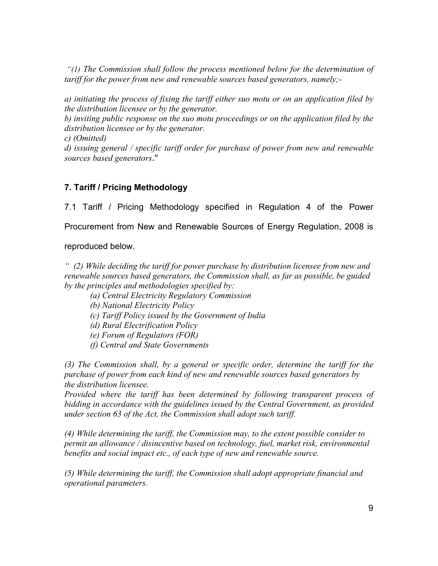"(1) The Commission shall follow the process mentioned below for the determination of tariff for the power from new and renewable sources based generators, namely;-

a) initiating the process of fixing the tariff either suo motu or on an application filed by the distribution licensee or by the generator.

b) inviting public response on the suo motu proceedings or on the application filed by the distribution licensee or by the generator.

c) (Omitted)

d) issuing general / specific tariff order for purchase of power from new and renewable sources based generators."

# 7. Tariff / Pricing Methodology

7.1 Tariff / Pricing Methodology specified in Regulation 4 of the Power

Procurement from New and Renewable Sources of Energy Regulation, 2008 is

reproduced below.

 $''$  (2) While deciding the tariff for power purchase by distribution licensee from new and renewable sources based generators, the Commission shall, as far as possible, be guided by the principles and methodologies specified by:

- (a) Central Electricity Regulatory Commission
- (b) National Electricity Policy
- (c) Tariff Policy issued by the Government of India
- (d) Rural Electrification Policy
- (e) Forum of Regulators (FOR)
- (f) Central and State Governments

(3) The Commission shall, by a general or specific order, determine the tariff for the purchase of power from each kind of new and renewable sources based generators by the distribution licensee.

Provided where the tariff has been determined by following transparent process of bidding in accordance with the guidelines issued by the Central Government, as provided under section 63 of the Act, the Commission shall adopt such tariff.

(4) While determining the tariff, the Commission may, to the extent possible consider to permit an allowance / disincentive based on technology, fuel, market risk, environmental benefits and social impact etc., of each type of new and renewable source.

(5) While determining the tariff, the Commission shall adopt appropriate financial and operational parameters.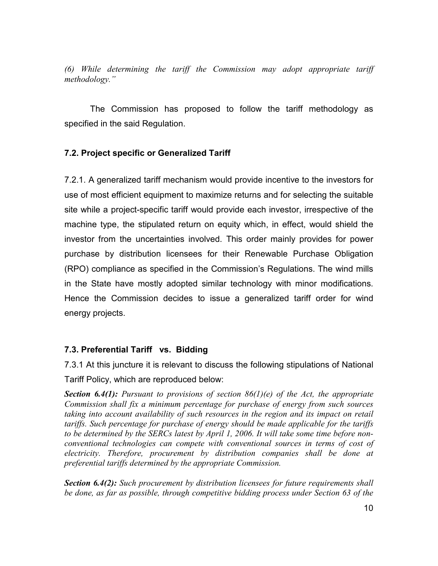(6) While determining the tariff the Commission may adopt appropriate tariff methodology."

The Commission has proposed to follow the tariff methodology as specified in the said Regulation.

## 7.2. Project specific or Generalized Tariff

7.2.1. A generalized tariff mechanism would provide incentive to the investors for use of most efficient equipment to maximize returns and for selecting the suitable site while a project-specific tariff would provide each investor, irrespective of the machine type, the stipulated return on equity which, in effect, would shield the investor from the uncertainties involved. This order mainly provides for power purchase by distribution licensees for their Renewable Purchase Obligation (RPO) compliance as specified in the Commission's Regulations. The wind mills in the State have mostly adopted similar technology with minor modifications. Hence the Commission decides to issue a generalized tariff order for wind energy projects.

## 7.3. Preferential Tariff vs. Bidding

7.3.1 At this juncture it is relevant to discuss the following stipulations of National Tariff Policy, which are reproduced below:

**Section 6.4(1):** Pursuant to provisions of section  $86(1)(e)$  of the Act, the appropriate Commission shall fix a minimum percentage for purchase of energy from such sources taking into account availability of such resources in the region and its impact on retail tariffs. Such percentage for purchase of energy should be made applicable for the tariffs to be determined by the SERCs latest by April 1, 2006. It will take some time before nonconventional technologies can compete with conventional sources in terms of cost of electricity. Therefore, procurement by distribution companies shall be done at preferential tariffs determined by the appropriate Commission.

**Section 6.4(2):** Such procurement by distribution licensees for future requirements shall be done, as far as possible, through competitive bidding process under Section 63 of the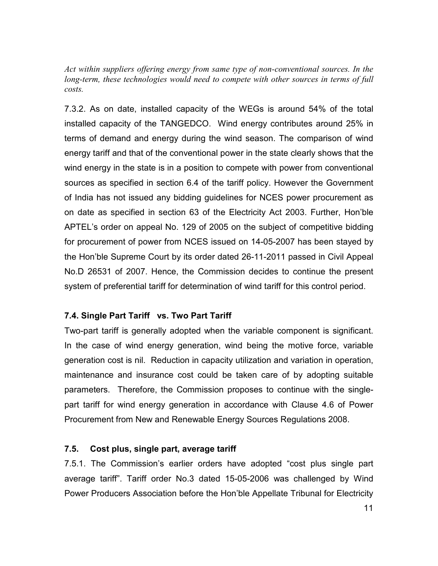Act within suppliers offering energy from same type of non-conventional sources. In the long-term, these technologies would need to compete with other sources in terms of full costs.

7.3.2. As on date, installed capacity of the WEGs is around 54% of the total installed capacity of the TANGEDCO. Wind energy contributes around 25% in terms of demand and energy during the wind season. The comparison of wind energy tariff and that of the conventional power in the state clearly shows that the wind energy in the state is in a position to compete with power from conventional sources as specified in section 6.4 of the tariff policy. However the Government of India has not issued any bidding guidelines for NCES power procurement as on date as specified in section 63 of the Electricity Act 2003. Further, Hon'ble APTEL's order on appeal No. 129 of 2005 on the subject of competitive bidding for procurement of power from NCES issued on 14-05-2007 has been stayed by the Hon'ble Supreme Court by its order dated 26-11-2011 passed in Civil Appeal No.D 26531 of 2007. Hence, the Commission decides to continue the present system of preferential tariff for determination of wind tariff for this control period.

## 7.4. Single Part Tariff vs. Two Part Tariff

Two-part tariff is generally adopted when the variable component is significant. In the case of wind energy generation, wind being the motive force, variable generation cost is nil. Reduction in capacity utilization and variation in operation, maintenance and insurance cost could be taken care of by adopting suitable parameters. Therefore, the Commission proposes to continue with the singlepart tariff for wind energy generation in accordance with Clause 4.6 of Power Procurement from New and Renewable Energy Sources Regulations 2008.

#### 7.5. Cost plus, single part, average tariff

7.5.1. The Commission's earlier orders have adopted "cost plus single part average tariff". Tariff order No.3 dated 15-05-2006 was challenged by Wind Power Producers Association before the Hon'ble Appellate Tribunal for Electricity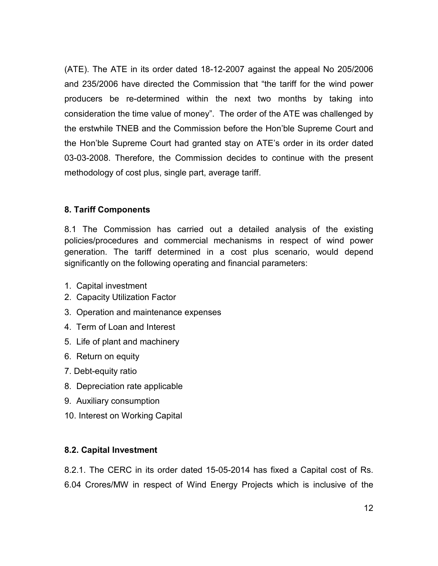(ATE). The ATE in its order dated 18-12-2007 against the appeal No 205/2006 and 235/2006 have directed the Commission that "the tariff for the wind power producers be re-determined within the next two months by taking into consideration the time value of money". The order of the ATE was challenged by the erstwhile TNEB and the Commission before the Hon'ble Supreme Court and the Hon'ble Supreme Court had granted stay on ATE's order in its order dated 03-03-2008. Therefore, the Commission decides to continue with the present methodology of cost plus, single part, average tariff.

## 8. Tariff Components

8.1 The Commission has carried out a detailed analysis of the existing policies/procedures and commercial mechanisms in respect of wind power generation. The tariff determined in a cost plus scenario, would depend significantly on the following operating and financial parameters:

- 1. Capital investment
- 2. Capacity Utilization Factor
- 3. Operation and maintenance expenses
- 4. Term of Loan and Interest
- 5. Life of plant and machinery
- 6. Return on equity
- 7. Debt-equity ratio
- 8. Depreciation rate applicable
- 9. Auxiliary consumption
- 10. Interest on Working Capital

## 8.2. Capital Investment

8.2.1. The CERC in its order dated 15-05-2014 has fixed a Capital cost of Rs. 6.04 Crores/MW in respect of Wind Energy Projects which is inclusive of the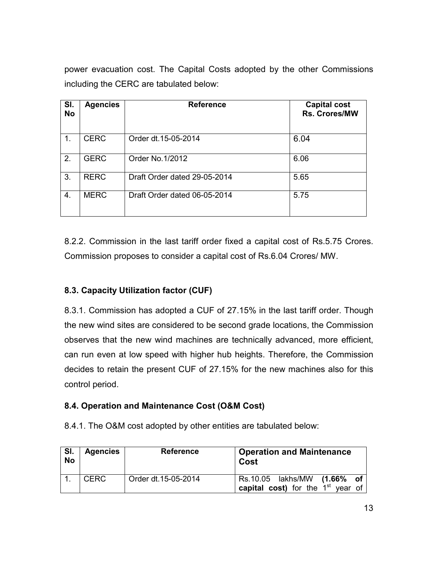power evacuation cost. The Capital Costs adopted by the other Commissions including the CERC are tabulated below:

| SI.<br><b>No</b> | <b>Agencies</b> | <b>Reference</b>             | <b>Capital cost</b><br><b>Rs. Crores/MW</b> |
|------------------|-----------------|------------------------------|---------------------------------------------|
| 1.               | <b>CERC</b>     | Order dt. 15-05-2014         | 6.04                                        |
| 2.               | <b>GERC</b>     | Order No.1/2012              | 6.06                                        |
| 3.               | <b>RERC</b>     | Draft Order dated 29-05-2014 | 5.65                                        |
| 4.               | <b>MERC</b>     | Draft Order dated 06-05-2014 | 5.75                                        |

8.2.2. Commission in the last tariff order fixed a capital cost of Rs.5.75 Crores. Commission proposes to consider a capital cost of Rs.6.04 Crores/ MW.

# 8.3. Capacity Utilization factor (CUF)

8.3.1. Commission has adopted a CUF of 27.15% in the last tariff order. Though the new wind sites are considered to be second grade locations, the Commission observes that the new wind machines are technically advanced, more efficient, can run even at low speed with higher hub heights. Therefore, the Commission decides to retain the present CUF of 27.15% for the new machines also for this control period.

## 8.4. Operation and Maintenance Cost (O&M Cost)

8.4.1. The O&M cost adopted by other entities are tabulated below:

| SI.<br><b>No</b> | <b>Agencies</b> | <b>Reference</b>    | <b>Operation and Maintenance</b><br>Cost                           |
|------------------|-----------------|---------------------|--------------------------------------------------------------------|
|                  | <b>CERC</b>     | Order dt.15-05-2014 | Rs.10.05 lakhs/MW (1.66% of<br>capital cost) for the $1st$ year of |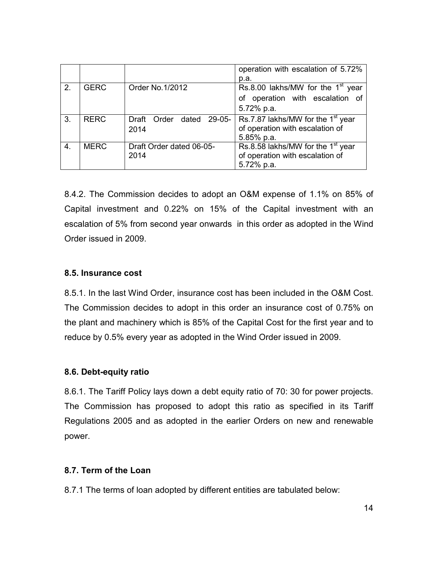|               |             |                                  | operation with escalation of 5.72%<br>p.a.                                                     |
|---------------|-------------|----------------------------------|------------------------------------------------------------------------------------------------|
| $\mathcal{P}$ | <b>GERC</b> | Order No.1/2012                  | Rs.8.00 lakhs/MW for the $1st$ year<br>of operation with escalation of<br>5.72% p.a.           |
| 3.            | <b>RERC</b> | Draft Order dated 29-05-<br>2014 | Rs.7.87 lakhs/MW for the 1 <sup>st</sup> year<br>of operation with escalation of<br>5.85% p.a. |
| 4.            | <b>MERC</b> | Draft Order dated 06-05-<br>2014 | Rs.8.58 lakhs/MW for the $1st$ year<br>of operation with escalation of<br>5.72% p.a.           |

8.4.2. The Commission decides to adopt an O&M expense of 1.1% on 85% of Capital investment and 0.22% on 15% of the Capital investment with an escalation of 5% from second year onwards in this order as adopted in the Wind Order issued in 2009.

## 8.5. Insurance cost

8.5.1. In the last Wind Order, insurance cost has been included in the O&M Cost. The Commission decides to adopt in this order an insurance cost of 0.75% on the plant and machinery which is 85% of the Capital Cost for the first year and to reduce by 0.5% every year as adopted in the Wind Order issued in 2009.

## 8.6. Debt-equity ratio

8.6.1. The Tariff Policy lays down a debt equity ratio of 70: 30 for power projects. The Commission has proposed to adopt this ratio as specified in its Tariff Regulations 2005 and as adopted in the earlier Orders on new and renewable power.

## 8.7. Term of the Loan

8.7.1 The terms of loan adopted by different entities are tabulated below: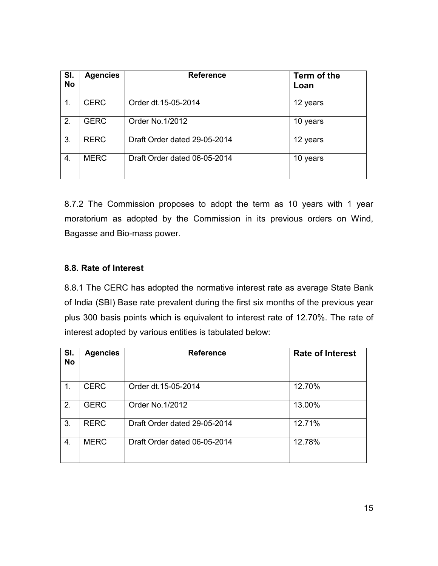| SI.<br><b>No</b> | <b>Agencies</b> | <b>Reference</b>             | Term of the<br>Loan |
|------------------|-----------------|------------------------------|---------------------|
| 1.               | <b>CERC</b>     | Order dt.15-05-2014          | 12 years            |
| 2.               | <b>GERC</b>     | Order No.1/2012              | 10 years            |
| 3.               | <b>RERC</b>     | Draft Order dated 29-05-2014 | 12 years            |
| 4.               | <b>MERC</b>     | Draft Order dated 06-05-2014 | 10 years            |

8.7.2 The Commission proposes to adopt the term as 10 years with 1 year moratorium as adopted by the Commission in its previous orders on Wind, Bagasse and Bio-mass power.

## 8.8. Rate of Interest

8.8.1 The CERC has adopted the normative interest rate as average State Bank of India (SBI) Base rate prevalent during the first six months of the previous year plus 300 basis points which is equivalent to interest rate of 12.70%. The rate of interest adopted by various entities is tabulated below:

| SI.<br><b>No</b> | <b>Agencies</b> | <b>Reference</b>             | <b>Rate of Interest</b> |
|------------------|-----------------|------------------------------|-------------------------|
| 1.               | <b>CERC</b>     | Order dt.15-05-2014          | 12.70%                  |
| 2.               | <b>GERC</b>     | Order No.1/2012              | 13.00%                  |
| 3.               | <b>RERC</b>     | Draft Order dated 29-05-2014 | 12.71%                  |
| 4.               | <b>MERC</b>     | Draft Order dated 06-05-2014 | 12.78%                  |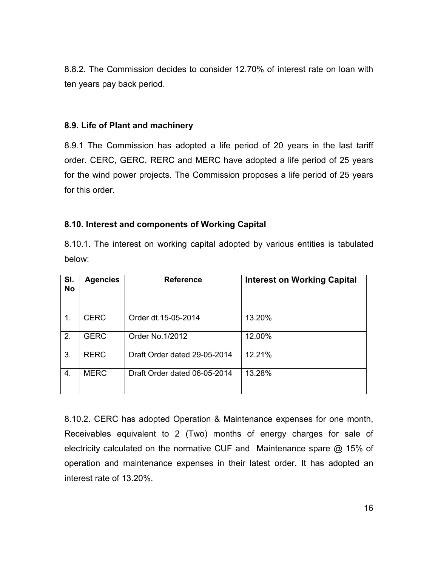8.8.2. The Commission decides to consider 12.70% of interest rate on loan with ten years pay back period.

#### 8.9. Life of Plant and machinery

8.9.1 The Commission has adopted a life period of 20 years in the last tariff order. CERC, GERC, RERC and MERC have adopted a life period of 25 years for the wind power projects. The Commission proposes a life period of 25 years for this order.

## 8.10. Interest and components of Working Capital

8.10.1. The interest on working capital adopted by various entities is tabulated below:

| SI.<br><b>No</b> | <b>Agencies</b> | <b>Reference</b>             | <b>Interest on Working Capital</b> |
|------------------|-----------------|------------------------------|------------------------------------|
| 1.               | <b>CERC</b>     | Order dt.15-05-2014          | 13.20%                             |
| 2.               | <b>GERC</b>     | Order No.1/2012              | 12.00%                             |
| 3.               | <b>RERC</b>     | Draft Order dated 29-05-2014 | 12.21%                             |
| 4.               | <b>MERC</b>     | Draft Order dated 06-05-2014 | 13.28%                             |

8.10.2. CERC has adopted Operation & Maintenance expenses for one month, Receivables equivalent to 2 (Two) months of energy charges for sale of electricity calculated on the normative CUF and Maintenance spare @ 15% of operation and maintenance expenses in their latest order. It has adopted an interest rate of 13.20%.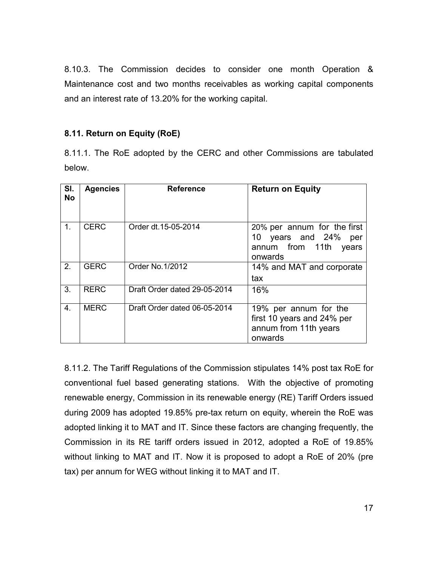8.10.3. The Commission decides to consider one month Operation & Maintenance cost and two months receivables as working capital components and an interest rate of 13.20% for the working capital.

## 8.11. Return on Equity (RoE)

8.11.1. The RoE adopted by the CERC and other Commissions are tabulated below.

| SI.<br><b>No</b> | <b>Agencies</b> | <b>Reference</b>             | <b>Return on Equity</b>                                                                       |
|------------------|-----------------|------------------------------|-----------------------------------------------------------------------------------------------|
| $1_{-}$          | <b>CERC</b>     | Order dt.15-05-2014          | 20% per annum for the first<br>10 years and 24%<br>per<br>annum from 11th<br>years<br>onwards |
| 2.               | <b>GERC</b>     | Order No. 1/2012             | 14% and MAT and corporate<br>tax                                                              |
| 3.               | <b>RERC</b>     | Draft Order dated 29-05-2014 | 16%                                                                                           |
| 4 <sub>1</sub>   | <b>MERC</b>     | Draft Order dated 06-05-2014 | 19% per annum for the<br>first 10 years and 24% per<br>annum from 11th years<br>onwards       |

8.11.2. The Tariff Regulations of the Commission stipulates 14% post tax RoE for conventional fuel based generating stations. With the objective of promoting renewable energy, Commission in its renewable energy (RE) Tariff Orders issued during 2009 has adopted 19.85% pre-tax return on equity, wherein the RoE was adopted linking it to MAT and IT. Since these factors are changing frequently, the Commission in its RE tariff orders issued in 2012, adopted a RoE of 19.85% without linking to MAT and IT. Now it is proposed to adopt a RoE of 20% (pre tax) per annum for WEG without linking it to MAT and IT.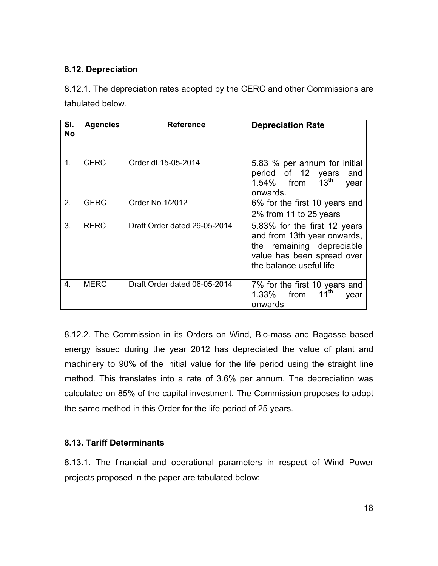# 8.12. Depreciation

8.12.1. The depreciation rates adopted by the CERC and other Commissions are tabulated below.

| SI.<br><b>No</b> | <b>Agencies</b> | <b>Reference</b>             | <b>Depreciation Rate</b>                                                                                                                          |
|------------------|-----------------|------------------------------|---------------------------------------------------------------------------------------------------------------------------------------------------|
| $\mathbf 1$ .    | <b>CERC</b>     | Order dt. 15-05-2014         | 5.83 % per annum for initial<br>period of 12 years<br>and<br>13 <sup>th</sup><br>1.54% from<br>year<br>onwards.                                   |
| 2.               | <b>GERC</b>     | Order No.1/2012              | 6% for the first 10 years and<br>2% from 11 to 25 years                                                                                           |
| 3.               | <b>RERC</b>     | Draft Order dated 29-05-2014 | 5.83% for the first 12 years<br>and from 13th year onwards,<br>the remaining depreciable<br>value has been spread over<br>the balance useful life |
| 4.               | <b>MERC</b>     | Draft Order dated 06-05-2014 | 7% for the first 10 years and<br>$11^{th}$<br>from<br>1.33%<br>year<br>onwards                                                                    |

8.12.2. The Commission in its Orders on Wind, Bio-mass and Bagasse based energy issued during the year 2012 has depreciated the value of plant and machinery to 90% of the initial value for the life period using the straight line method. This translates into a rate of 3.6% per annum. The depreciation was calculated on 85% of the capital investment. The Commission proposes to adopt the same method in this Order for the life period of 25 years.

## 8.13. Tariff Determinants

8.13.1. The financial and operational parameters in respect of Wind Power projects proposed in the paper are tabulated below: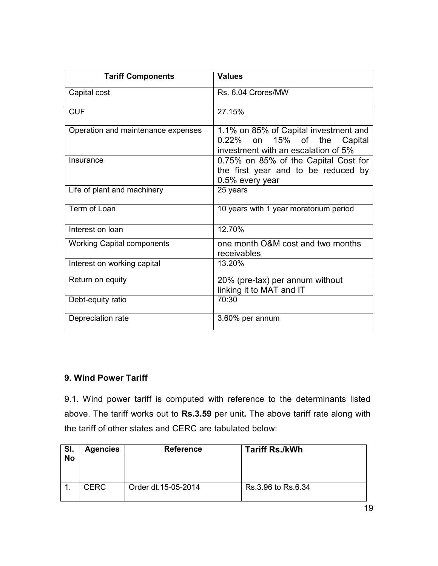| <b>Tariff Components</b>           | <b>Values</b>                                                                                                        |
|------------------------------------|----------------------------------------------------------------------------------------------------------------------|
| Capital cost                       | Rs. 6.04 Crores/MW                                                                                                   |
| <b>CUF</b>                         | 27.15%                                                                                                               |
| Operation and maintenance expenses | 1.1% on 85% of Capital investment and<br>0.22% on 15%<br>0f<br>the<br>Capital<br>investment with an escalation of 5% |
| Insurance                          | 0.75% on 85% of the Capital Cost for<br>the first year and to be reduced by<br>0.5% every year                       |
| Life of plant and machinery        | 25 years                                                                                                             |
| Term of Loan                       | 10 years with 1 year moratorium period                                                                               |
| Interest on loan                   | 12.70%                                                                                                               |
| <b>Working Capital components</b>  | one month O&M cost and two months<br>receivables                                                                     |
| Interest on working capital        | 13.20%                                                                                                               |
| Return on equity                   | 20% (pre-tax) per annum without<br>linking it to MAT and IT                                                          |
| Debt-equity ratio                  | 70:30                                                                                                                |
| Depreciation rate                  | 3.60% per annum                                                                                                      |

## 9. Wind Power Tariff

9.1. Wind power tariff is computed with reference to the determinants listed above. The tariff works out to Rs.3.59 per unit. The above tariff rate along with the tariff of other states and CERC are tabulated below:

| SI.<br><b>No</b> | <b>Agencies</b> | <b>Reference</b>    | <b>Tariff Rs./kWh</b> |
|------------------|-----------------|---------------------|-----------------------|
|                  | <b>CERC</b>     | Order dt.15-05-2014 | Rs.3.96 to Rs.6.34    |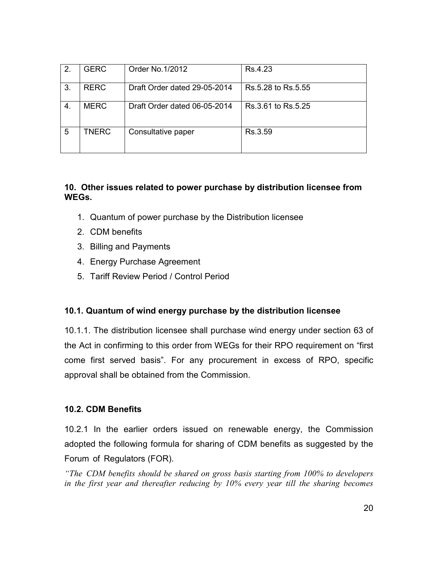| 2. | <b>GERC</b>  | Order No. 1/2012             | Rs.4.23            |
|----|--------------|------------------------------|--------------------|
| 3. | <b>RERC</b>  | Draft Order dated 29-05-2014 | Rs.5.28 to Rs.5.55 |
| 4. | <b>MERC</b>  | Draft Order dated 06-05-2014 | Rs.3.61 to Rs.5.25 |
| 5  | <b>TNERC</b> | Consultative paper           | Rs.3.59            |

## 10. Other issues related to power purchase by distribution licensee from WEGs.

- 1. Quantum of power purchase by the Distribution licensee
- 2. CDM benefits
- 3. Billing and Payments
- 4. Energy Purchase Agreement
- 5. Tariff Review Period / Control Period

## 10.1. Quantum of wind energy purchase by the distribution licensee

10.1.1. The distribution licensee shall purchase wind energy under section 63 of the Act in confirming to this order from WEGs for their RPO requirement on "first come first served basis". For any procurement in excess of RPO, specific approval shall be obtained from the Commission.

## 10.2. CDM Benefits

10.2.1 In the earlier orders issued on renewable energy, the Commission adopted the following formula for sharing of CDM benefits as suggested by the Forum of Regulators (FOR).

"The CDM benefits should be shared on gross basis starting from 100% to developers in the first year and thereafter reducing by 10% every year till the sharing becomes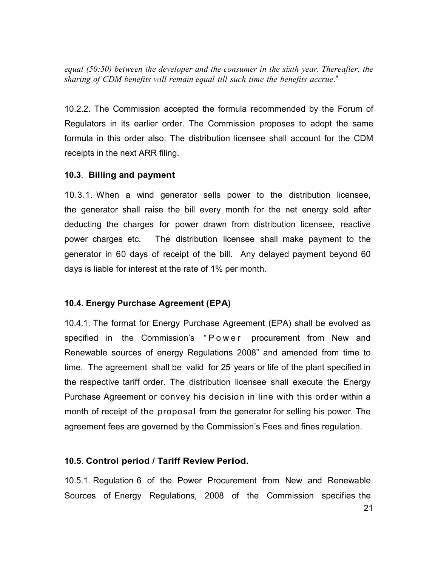equal (50:50) between the developer and the consumer in the sixth year. Thereafter, the sharing of CDM benefits will remain equal till such time the benefits accrue."

10.2.2. The Commission accepted the formula recommended by the Forum of Regulators in its earlier order. The Commission proposes to adopt the same formula in this order also. The distribution licensee shall account for the CDM receipts in the next ARR filing.

## 10.3. Billing and payment

10.3.1. When a wind generator sells power to the distribution licensee, the generator shall raise the bill every month for the net energy sold after deducting the charges for power drawn from distribution licensee, reactive power charges etc. The distribution licensee shall make payment to the generator in 60 days of receipt of the bill. Any delayed payment beyond 60 days is liable for interest at the rate of 1% per month.

## 10.4. Energy Purchase Agreement (EPA)

10.4.1. The format for Energy Purchase Agreement (EPA) shall be evolved as specified in the Commission's "Power procurement from New and Renewable sources of energy Regulations 2008" and amended from time to time. The agreement shall be valid for 25 years or life of the plant specified in the respective tariff order. The distribution licensee shall execute the Energy Purchase Agreement or convey his decision in line with this order within a month of receipt of the proposal from the generator for selling his power. The agreement fees are governed by the Commission's Fees and fines regulation.

#### 10.5. Control period / Tariff Review Period.

10.5.1. Regulation 6 of the Power Procurement from New and Renewable Sources of Energy Regulations, 2008 of the Commission specifies the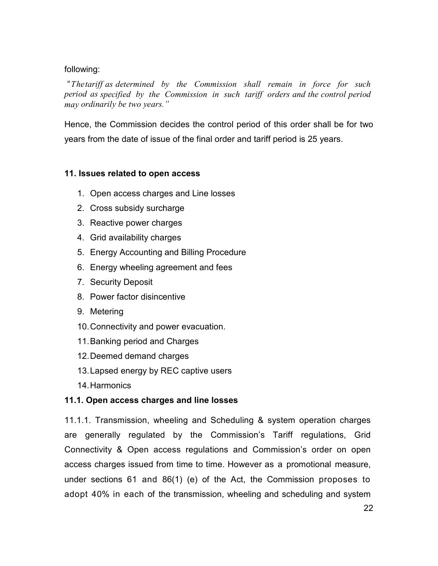#### following:

 "The tariff as determined by the Commission shall remain in force for such period as specified by the Commission in such tariff orders and the control period may ordinarily be two years."

Hence, the Commission decides the control period of this order shall be for two years from the date of issue of the final order and tariff period is 25 years.

## 11. Issues related to open access

- 1. Open access charges and Line losses
- 2. Cross subsidy surcharge
- 3. Reactive power charges
- 4. Grid availability charges
- 5. Energy Accounting and Billing Procedure
- 6. Energy wheeling agreement and fees
- 7. Security Deposit
- 8. Power factor disincentive
- 9. Metering
- 10. Connectivity and power evacuation.
- 11. Banking period and Charges
- 12. Deemed demand charges
- 13. Lapsed energy by REC captive users
- 14. Harmonics

#### 11.1. Open access charges and line losses

11.1.1. Transmission, wheeling and Scheduling & system operation charges are generally regulated by the Commission's Tariff regulations, Grid Connectivity & Open access regulations and Commission's order on open access charges issued from time to time. However as a promotional measure, under sections 61 and 86(1) (e) of the Act, the Commission proposes to adopt 40% in each of the transmission, wheeling and scheduling and system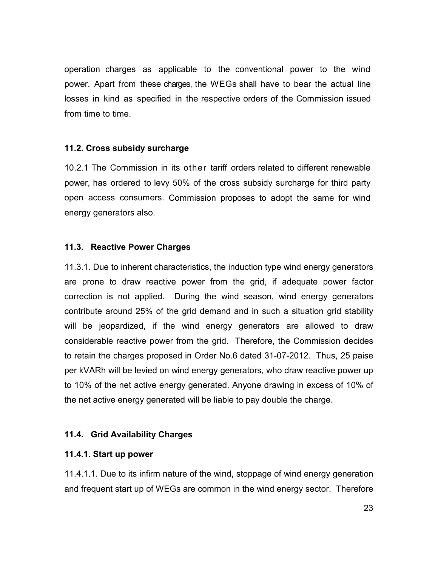operation charges as applicable to the conventional power to the wind power. Apart from these charges, the WEGs shall have to bear the actual line losses in kind as specified in the respective orders of the Commission issued from time to time.

## 11.2. Cross subsidy surcharge

10.2.1 The Commission in its other tariff orders related to different renewable power, has ordered to levy 50% of the cross subsidy surcharge for third party open access consumers. Commission proposes to adopt the same for wind energy generators also.

#### 11.3. Reactive Power Charges

11.3.1. Due to inherent characteristics, the induction type wind energy generators are prone to draw reactive power from the grid, if adequate power factor correction is not applied. During the wind season, wind energy generators contribute around 25% of the grid demand and in such a situation grid stability will be jeopardized, if the wind energy generators are allowed to draw considerable reactive power from the grid. Therefore, the Commission decides to retain the charges proposed in Order No.6 dated 31-07-2012. Thus, 25 paise per kVARh will be levied on wind energy generators, who draw reactive power up to 10% of the net active energy generated. Anyone drawing in excess of 10% of the net active energy generated will be liable to pay double the charge.

## 11.4. Grid Availability Charges

#### 11.4.1. Start up power

11.4.1.1. Due to its infirm nature of the wind, stoppage of wind energy generation and frequent start up of WEGs are common in the wind energy sector. Therefore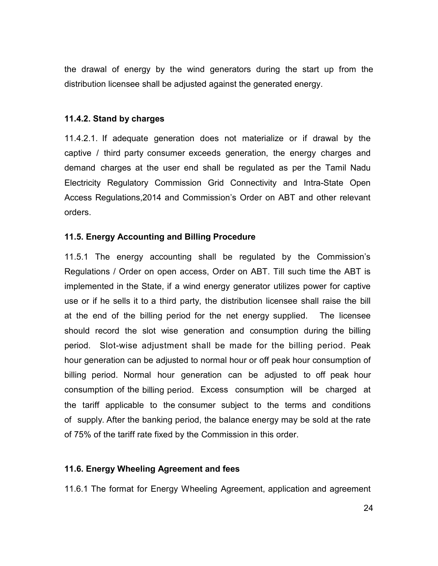the drawal of energy by the wind generators during the start up from the distribution licensee shall be adjusted against the generated energy.

#### 11.4.2. Stand by charges

11.4.2.1. If adequate generation does not materialize or if drawal by the captive / third party consumer exceeds generation, the energy charges and demand charges at the user end shall be regulated as per the Tamil Nadu Electricity Regulatory Commission Grid Connectivity and Intra-State Open Access Regulations,2014 and Commission's Order on ABT and other relevant orders.

#### 11.5. Energy Accounting and Billing Procedure

11.5.1 The energy accounting shall be regulated by the Commission's Regulations / Order on open access, Order on ABT. Till such time the ABT is implemented in the State, if a wind energy generator utilizes power for captive use or if he sells it to a third party, the distribution licensee shall raise the bill at the end of the billing period for the net energy supplied. The licensee should record the slot wise generation and consumption during the billing period. Slot-wise adjustment shall be made for the billing period. Peak hour generation can be adjusted to normal hour or off peak hour consumption of billing period. Normal hour generation can be adjusted to off peak hour consumption of the billing period. Excess consumption will be charged at the tariff applicable to the consumer subject to the terms and conditions of supply. After the banking period, the balance energy may be sold at the rate of 75% of the tariff rate fixed by the Commission in this order.

#### 11.6. Energy Wheeling Agreement and fees

11.6.1 The format for Energy Wheeling Agreement, application and agreement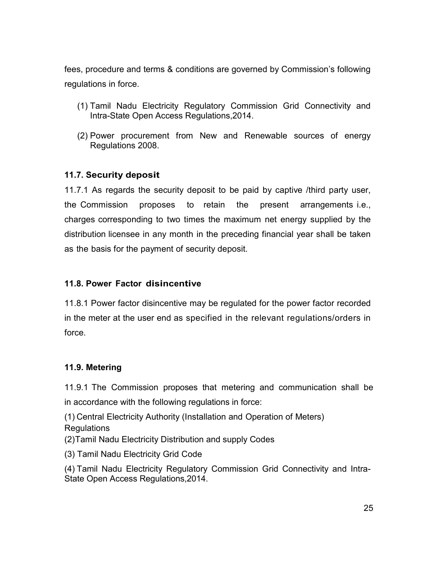fees, procedure and terms & conditions are governed by Commission's following regulations in force.

- (1) Tamil Nadu Electricity Regulatory Commission Grid Connectivity and Intra-State Open Access Regulations,2014.
- (2) Power procurement from New and Renewable sources of energy Regulations 2008.

## 11.7. Security deposit

11.7.1 As regards the security deposit to be paid by captive /third party user, the Commission proposes to retain the present arrangements i.e., charges corresponding to two times the maximum net energy supplied by the distribution licensee in any month in the preceding financial year shall be taken as the basis for the payment of security deposit.

## 11.8. Power Factor disincentive

11.8.1 Power factor disincentive may be regulated for the power factor recorded in the meter at the user end as specified in the relevant regulations/orders in force.

## 11.9. Metering

11.9.1 The Commission proposes that metering and communication shall be in accordance with the following regulations in force:

(1) Central Electricity Authority (Installation and Operation of Meters) **Regulations** 

(2) Tamil Nadu Electricity Distribution and supply Codes

(3) Tamil Nadu Electricity Grid Code

(4) Tamil Nadu Electricity Regulatory Commission Grid Connectivity and Intra-State Open Access Regulations,2014.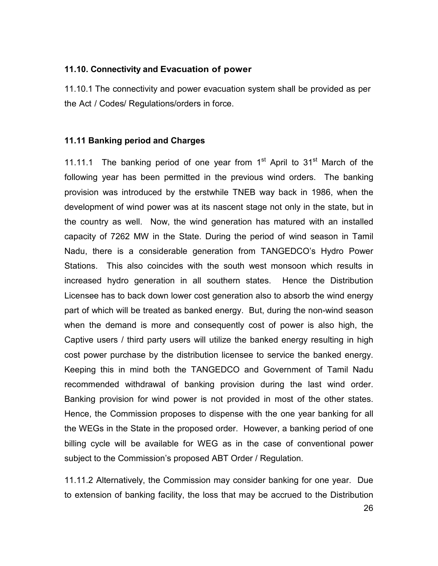#### 11.10. Connectivity and Evacuation of power

11.10.1 The connectivity and power evacuation system shall be provided as per the Act / Codes/ Regulations/orders in force.

#### 11.11 Banking period and Charges

11.11.1 The banking period of one year from  $1<sup>st</sup>$  April to  $31<sup>st</sup>$  March of the following year has been permitted in the previous wind orders. The banking provision was introduced by the erstwhile TNEB way back in 1986, when the development of wind power was at its nascent stage not only in the state, but in the country as well. Now, the wind generation has matured with an installed capacity of 7262 MW in the State. During the period of wind season in Tamil Nadu, there is a considerable generation from TANGEDCO's Hydro Power Stations. This also coincides with the south west monsoon which results in increased hydro generation in all southern states. Hence the Distribution Licensee has to back down lower cost generation also to absorb the wind energy part of which will be treated as banked energy. But, during the non-wind season when the demand is more and consequently cost of power is also high, the Captive users / third party users will utilize the banked energy resulting in high cost power purchase by the distribution licensee to service the banked energy. Keeping this in mind both the TANGEDCO and Government of Tamil Nadu recommended withdrawal of banking provision during the last wind order. Banking provision for wind power is not provided in most of the other states. Hence, the Commission proposes to dispense with the one year banking for all the WEGs in the State in the proposed order. However, a banking period of one billing cycle will be available for WEG as in the case of conventional power subject to the Commission's proposed ABT Order / Regulation.

11.11.2 Alternatively, the Commission may consider banking for one year. Due to extension of banking facility, the loss that may be accrued to the Distribution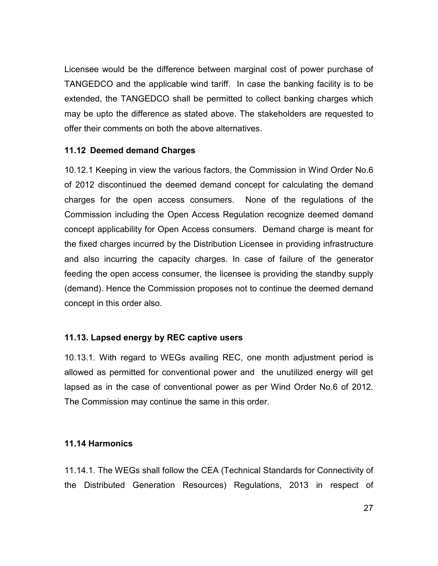Licensee would be the difference between marginal cost of power purchase of TANGEDCO and the applicable wind tariff. In case the banking facility is to be extended, the TANGEDCO shall be permitted to collect banking charges which may be upto the difference as stated above. The stakeholders are requested to offer their comments on both the above alternatives.

#### 11.12 Deemed demand Charges

10.12.1 Keeping in view the various factors, the Commission in Wind Order No.6 of 2012 discontinued the deemed demand concept for calculating the demand charges for the open access consumers. None of the regulations of the Commission including the Open Access Regulation recognize deemed demand concept applicability for Open Access consumers. Demand charge is meant for the fixed charges incurred by the Distribution Licensee in providing infrastructure and also incurring the capacity charges. In case of failure of the generator feeding the open access consumer, the licensee is providing the standby supply (demand). Hence the Commission proposes not to continue the deemed demand concept in this order also.

## 11.13. Lapsed energy by REC captive users

10.13.1. With regard to WEGs availing REC, one month adjustment period is allowed as permitted for conventional power and the unutilized energy will get lapsed as in the case of conventional power as per Wind Order No.6 of 2012. The Commission may continue the same in this order.

#### 11.14 Harmonics

11.14.1. The WEGs shall follow the CEA (Technical Standards for Connectivity of the Distributed Generation Resources) Regulations, 2013 in respect of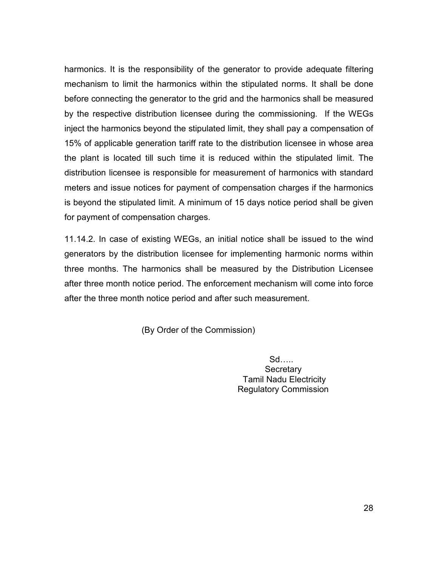harmonics. It is the responsibility of the generator to provide adequate filtering mechanism to limit the harmonics within the stipulated norms. It shall be done before connecting the generator to the grid and the harmonics shall be measured by the respective distribution licensee during the commissioning. If the WEGs inject the harmonics beyond the stipulated limit, they shall pay a compensation of 15% of applicable generation tariff rate to the distribution licensee in whose area the plant is located till such time it is reduced within the stipulated limit. The distribution licensee is responsible for measurement of harmonics with standard meters and issue notices for payment of compensation charges if the harmonics is beyond the stipulated limit. A minimum of 15 days notice period shall be given for payment of compensation charges.

11.14.2. In case of existing WEGs, an initial notice shall be issued to the wind generators by the distribution licensee for implementing harmonic norms within three months. The harmonics shall be measured by the Distribution Licensee after three month notice period. The enforcement mechanism will come into force after the three month notice period and after such measurement.

(By Order of the Commission)

 $Sd$ .... **Secretary**  Tamil Nadu Electricity Regulatory Commission